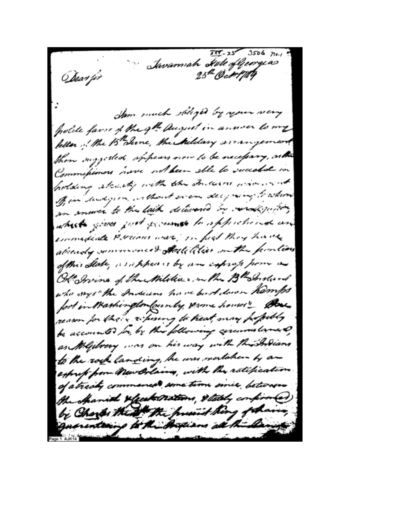$777 - 25$  3506  $710 - 1$ Savannah Høde ofljeorgias <u> Obe</u>av fir Sam much soliged by your very polite favor of the get august in annon to my feller of the 15 June, the hildary arrangement then suggested sphears now to be necessary, as the Commissioners nove with been solle to succeeded in holding already with the Indians wire ... Of in sudject, without even deciming to whom an answer to the lack decironed by veralgestion which gives just presence to apprehend and commediate Persions was, in first they have already summerced Hotelilier on the function of this State, as appears by an infrap pour as Ob Irvine of the Militia, mether Bh Instant who ways " the Indians have but down hamps fort in Washington founty some houses" Bu reason for their ritusing to heat, may projectly be accounted for, by this following cercures lane of as Megilvery , as on his way with this holians to the rock landing, he was mertaken by an express from Mew Orlains, with the ratification of atracky commences some time since betware the shanid xfeet nations, stately confirmed) by Charles the the present hing of having quarenteering to the Arguans all the Lange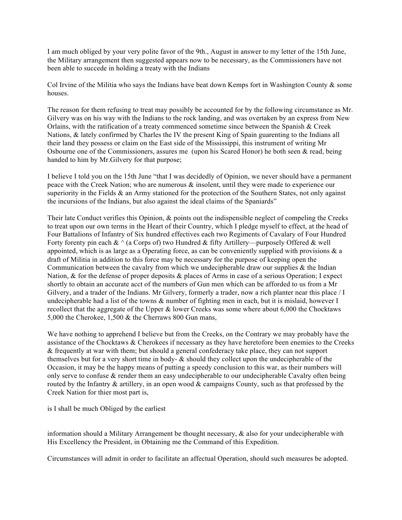I am much obliged by your very polite favor of the 9th., August in answer to my letter of the 15th June, the Military arrangement then suggested appears now to be necessary, as the Commissioners have not been able to succede in holding a treaty with the Indians

Col Irvine of the Militia who says the Indians have beat down Kemps fort in Washington County & some houses.

The reason for them refusing to treat may possibly be accounted for by the following circumstance as Mr. Gilvery was on his way with the Indians to the rock landing, and was overtaken by an express from New Orlains, with the ratification of a treaty commenced sometime since between the Spanish & Creek Nations, & lately confirmed by Charles the IV the present King of Spain guarenting to the Indians all their land they possess or claim on the East side of the Mississippi, this instrument of writing Mr Osbourne one of the Commissioners, assures me (upon his Scared Honor) he both seen  $\&$  read, being handed to him by Mr.Gilvery for that purpose;

I believe I told you on the 15th June "that I was decidedly of Opinion, we never should have a permanent peace with the Creek Nation; who are numerous & insolent, until they were made to experience our superiority in the Fields & an Army stationed for the protection of the Southern States, not only against the incursions of the Indians, but also against the ideal claims of the Spaniards"

Their late Conduct verifies this Opinion, & points out the indispensible neglect of compeling the Creeks to treat upon our own terms in the Heart of their Country, which I pledge myself to effect, at the head of Four Battalions of Infantry of Six hundred effectives each two Regiments of Cavalary of Four Hundred Forty forenty pin each  $\& \wedge$  (a Corps of) two Hundred  $\&$  fifty Artillery—purposely Offered  $\&$  well appointed, which is as large as a Operating force, as can be conveniently supplied with provisions  $\&$  a draft of Militia in addition to this force may be necessary for the purpose of keeping open the Communication between the cavalry from which we undecipherable draw our supplies  $\&$  the Indian Nation, & for the defense of proper deposits & places of Arms in case of a serious Operation; I expect shortly to obtain an accurate acct of the numbers of Gun men which can be afforded to us from a Mr Gilvery, and a trader of the Indians. Mr Gilvery, formerly a trader, now a rich planter near this place / I undecipherable had a list of the towns & number of fighting men in each, but it is mislaid, however I recollect that the aggregate of the Upper & lower Creeks was some where about 6,000 the Chocktaws 5,000 the Cherokee, 1,500 & the Cherraws 800 Gun mans,

We have nothing to apprehend I believe but from the Creeks, on the Contrary we may probably have the assistance of the Chocktaws & Cherokees if necessary as they have heretofore been enemies to the Creeks & frequently at war with them; but should a general confederacy take place, they can not support themselves but for a very short time in body- & should they collect upon the undecipherable of the Occasion, it may be the happy means of putting a speedy conclusion to this war, as their numbers will only serve to confuse & render them an easy undecipherable to our undecipherable Cavalry often being routed by the Infantry & artillery, in an open wood & campaigns County, such as that professed by the Creek Nation for thier most part is,

is I shall be much Obliged by the earliest

information should a Military Arrangement be thought necessary, & also for your undecipherable with His Excellency the President, in Obtaining me the Command of this Expedition.

Circumstances will admit in order to facilitate an affectual Operation, should such measures be adopted.